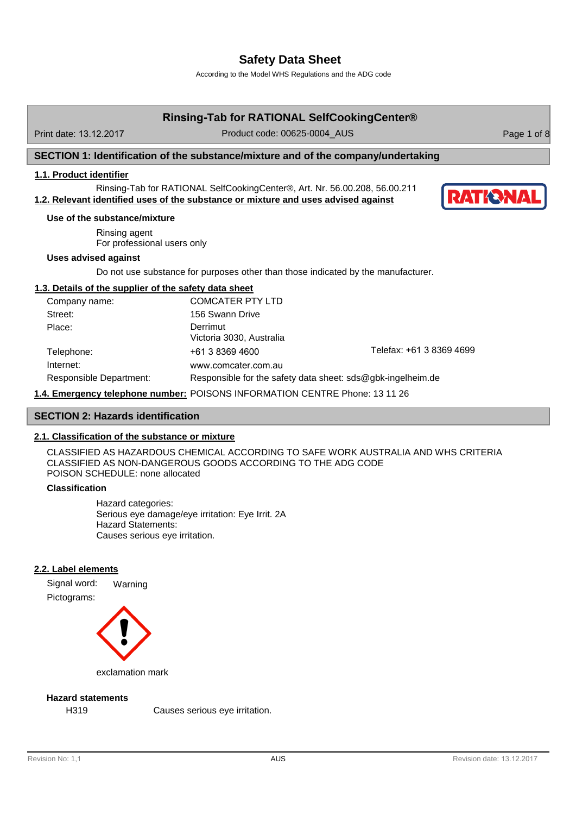According to the Model WHS Regulations and the ADG code

| Print date: 13.12.2017<br>SECTION 1: Identification of the substance/mixture and of the company/undertaking<br>1.1. Product identifier<br>Rinsing-Tab for RATIONAL SelfCookingCenter®, Art. Nr. 56.00.208, 56.00.211<br>1.2. Relevant identified uses of the substance or mixture and uses advised against<br>Use of the substance/mixture<br>Rinsing agent<br>For professional users only | Product code: 00625-0004 AUS<br>Page 1 of 8                                       |
|--------------------------------------------------------------------------------------------------------------------------------------------------------------------------------------------------------------------------------------------------------------------------------------------------------------------------------------------------------------------------------------------|-----------------------------------------------------------------------------------|
|                                                                                                                                                                                                                                                                                                                                                                                            |                                                                                   |
|                                                                                                                                                                                                                                                                                                                                                                                            |                                                                                   |
|                                                                                                                                                                                                                                                                                                                                                                                            |                                                                                   |
|                                                                                                                                                                                                                                                                                                                                                                                            | <b>RATKRNAI</b>                                                                   |
|                                                                                                                                                                                                                                                                                                                                                                                            |                                                                                   |
|                                                                                                                                                                                                                                                                                                                                                                                            |                                                                                   |
| <b>Uses advised against</b>                                                                                                                                                                                                                                                                                                                                                                |                                                                                   |
|                                                                                                                                                                                                                                                                                                                                                                                            | Do not use substance for purposes other than those indicated by the manufacturer. |
| 1.3. Details of the supplier of the safety data sheet                                                                                                                                                                                                                                                                                                                                      |                                                                                   |
| <b>COMCATER PTY LTD</b><br>Company name:                                                                                                                                                                                                                                                                                                                                                   |                                                                                   |
| Street:<br>156 Swann Drive                                                                                                                                                                                                                                                                                                                                                                 |                                                                                   |
| Derrimut<br>Place:<br>Victoria 3030, Australia                                                                                                                                                                                                                                                                                                                                             |                                                                                   |
| Telephone:<br>+61 3 8369 4600                                                                                                                                                                                                                                                                                                                                                              | Telefax: +61 3 8369 4699                                                          |
| Internet:<br>www.comcater.com.au                                                                                                                                                                                                                                                                                                                                                           |                                                                                   |
| Responsible Department:                                                                                                                                                                                                                                                                                                                                                                    | Responsible for the safety data sheet: sds@gbk-ingelheim.de                       |
| 1.4. Emergency telephone number: POISONS INFORMATION CENTRE Phone: 13 11 26                                                                                                                                                                                                                                                                                                                |                                                                                   |
| <b>SECTION 2: Hazards identification</b>                                                                                                                                                                                                                                                                                                                                                   |                                                                                   |

# **2.1. Classification of the substance or mixture**

CLASSIFIED AS HAZARDOUS CHEMICAL ACCORDING TO SAFE WORK AUSTRALIA AND WHS CRITERIA CLASSIFIED AS NON-DANGEROUS GOODS ACCORDING TO THE ADG CODE POISON SCHEDULE: none allocated

# **Classification**

Hazard categories: Serious eye damage/eye irritation: Eye Irrit. 2A Hazard Statements: Causes serious eye irritation.

# **2.2. Label elements**

Signal word: Warning Pictograms:



exclamation mark

# **Hazard statements**

H319 Causes serious eye irritation.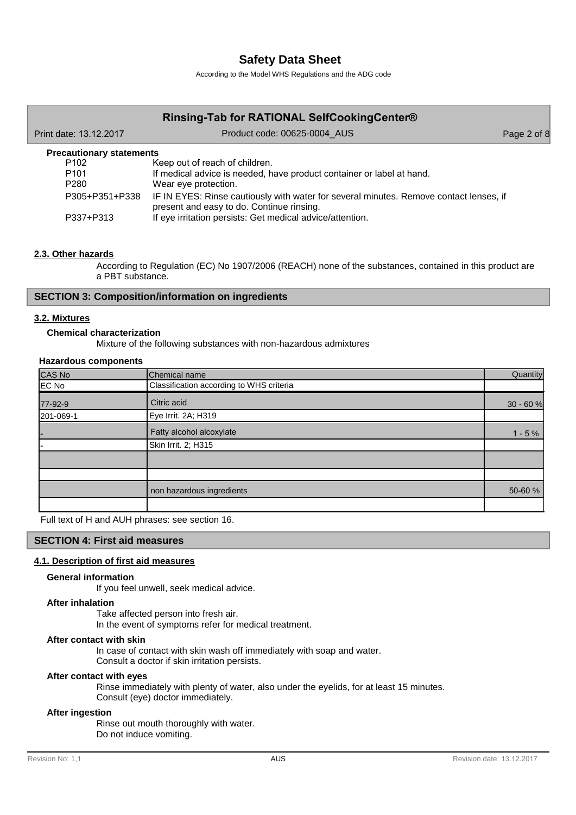According to the Model WHS Regulations and the ADG code

#### **Rinsing-Tab for RATIONAL SelfCookingCenter®** Print date: 13.12.2017 **Product code: 00625-0004** AUS Page 2 of 8 P102 Keep out of reach of children. P101 P280 If medical advice is needed, have product container or label at hand. Wear eye protection. P305+P351+P338 IF IN EYES: Rinse cautiously with water for several minutes. Remove contact lenses, if present and easy to do. Continue rinsing. P337+P313 If eye irritation persists: Get medical advice/attention. **Precautionary statements**

# **2.3. Other hazards**

According to Regulation (EC) No 1907/2006 (REACH) none of the substances, contained in this product are a PBT substance.

### **SECTION 3: Composition/information on ingredients**

### **3.2. Mixtures**

### **Chemical characterization**

Mixture of the following substances with non-hazardous admixtures

#### **Hazardous components**

| CAS No    | Chemical name                            | Quantity   |
|-----------|------------------------------------------|------------|
| EC No     | Classification according to WHS criteria |            |
| 77-92-9   | Citric acid                              | $30 - 60%$ |
| 201-069-1 | Eye Irrit. 2A; H319                      |            |
| ı-        | Fatty alcohol alcoxylate                 | $1 - 5%$   |
|           | Skin Irrit. 2; H315                      |            |
|           |                                          |            |
|           |                                          |            |
|           | non hazardous ingredients                | 50-60 %    |
|           |                                          |            |

Full text of H and AUH phrases: see section 16.

### **SECTION 4: First aid measures**

#### **4.1. Description of first aid measures**

#### **General information**

If you feel unwell, seek medical advice.

#### **After inhalation**

Take affected person into fresh air. In the event of symptoms refer for medical treatment.

## **After contact with skin**

In case of contact with skin wash off immediately with soap and water.

Consult a doctor if skin irritation persists.

#### **After contact with eyes**

Rinse immediately with plenty of water, also under the eyelids, for at least 15 minutes. Consult (eye) doctor immediately.

#### **After ingestion**

Rinse out mouth thoroughly with water. Do not induce vomiting.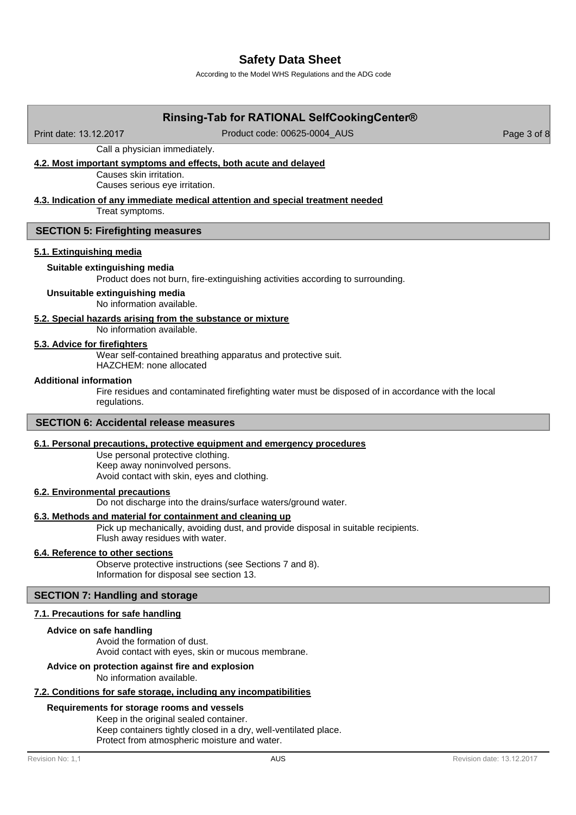According to the Model WHS Regulations and the ADG code

# **Rinsing-Tab for RATIONAL SelfCookingCenter®** Print date: 13.12.2017 Product code: 00625-0004 AUS Page 3 of 8

Call a physician immediately.

## **4.2. Most important symptoms and effects, both acute and delayed**

Causes skin irritation. Causes serious eye irritation.

## **4.3. Indication of any immediate medical attention and special treatment needed**

Treat symptoms.

#### **SECTION 5: Firefighting measures**

#### **5.1. Extinguishing media**

#### **Suitable extinguishing media**

Product does not burn, fire-extinguishing activities according to surrounding.

### **Unsuitable extinguishing media**

No information available.

## **5.2. Special hazards arising from the substance or mixture**

No information available.

#### **5.3. Advice for firefighters**

Wear self-contained breathing apparatus and protective suit.

HAZCHEM: none allocated

## **Additional information**

Fire residues and contaminated firefighting water must be disposed of in accordance with the local regulations.

### **SECTION 6: Accidental release measures**

#### **6.1. Personal precautions, protective equipment and emergency procedures**

Use personal protective clothing. Keep away noninvolved persons. Avoid contact with skin, eyes and clothing.

#### **6.2. Environmental precautions**

Do not discharge into the drains/surface waters/ground water.

#### **6.3. Methods and material for containment and cleaning up**

Pick up mechanically, avoiding dust, and provide disposal in suitable recipients. Flush away residues with water.

#### **6.4. Reference to other sections**

Observe protective instructions (see Sections 7 and 8). Information for disposal see section 13.

#### **SECTION 7: Handling and storage**

#### **7.1. Precautions for safe handling**

#### **Advice on safe handling**

Avoid the formation of dust. Avoid contact with eyes, skin or mucous membrane.

# **Advice on protection against fire and explosion**

No information available.

# **7.2. Conditions for safe storage, including any incompatibilities**

# **Requirements for storage rooms and vessels**

Keep in the original sealed container. Keep containers tightly closed in a dry, well-ventilated place. Protect from atmospheric moisture and water.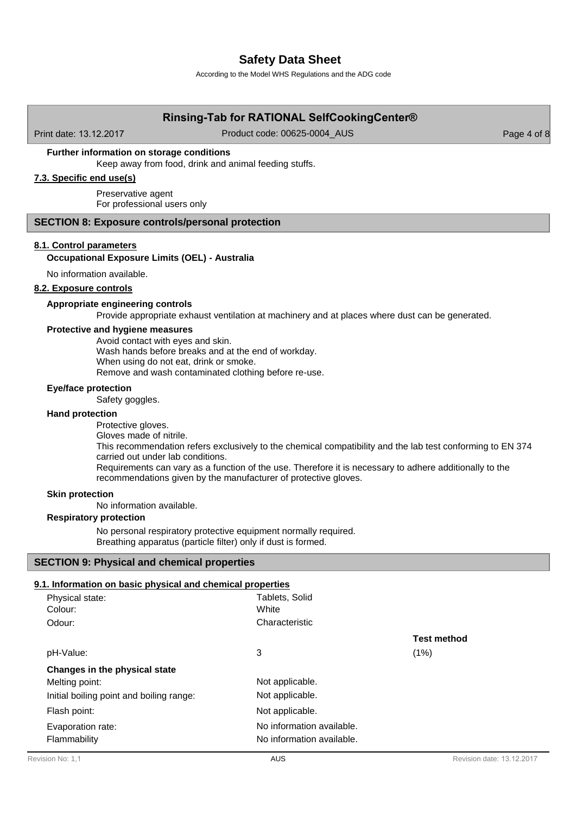According to the Model WHS Regulations and the ADG code

# **Rinsing-Tab for RATIONAL SelfCookingCenter®**

Print date: 13.12.2017 Product code: 00625-0004 AUS Page 4 of 8

#### **Further information on storage conditions**

Keep away from food, drink and animal feeding stuffs.

# **7.3. Specific end use(s)**

Preservative agent For professional users only

#### **SECTION 8: Exposure controls/personal protection**

#### **8.1. Control parameters**

#### **Occupational Exposure Limits (OEL) - Australia**

No information available.

#### **8.2. Exposure controls**

#### **Appropriate engineering controls**

Provide appropriate exhaust ventilation at machinery and at places where dust can be generated.

#### **Protective and hygiene measures**

Avoid contact with eyes and skin. Wash hands before breaks and at the end of workday. When using do not eat, drink or smoke. Remove and wash contaminated clothing before re-use.

#### **Eye/face protection**

Safety goggles.

#### **Hand protection**

Protective gloves.

Gloves made of nitrile.

This recommendation refers exclusively to the chemical compatibility and the lab test conforming to EN 374 carried out under lab conditions.

Requirements can vary as a function of the use. Therefore it is necessary to adhere additionally to the recommendations given by the manufacturer of protective gloves.

### **Skin protection**

No information available.

#### **Respiratory protection**

No personal respiratory protective equipment normally required. Breathing apparatus (particle filter) only if dust is formed.

#### **SECTION 9: Physical and chemical properties**

# **9.1. Information on basic physical and chemical properties**

| Physical state:<br>Colour:               | Tablets, Solid<br>White                                |                    |
|------------------------------------------|--------------------------------------------------------|--------------------|
| Odour:                                   | Characteristic                                         |                    |
|                                          |                                                        | <b>Test method</b> |
| pH-Value:                                | 3                                                      | (1%)               |
| Changes in the physical state            |                                                        |                    |
| Melting point:                           | Not applicable.                                        |                    |
| Initial boiling point and boiling range: | Not applicable.                                        |                    |
| Flash point:                             | Not applicable.                                        |                    |
| Evaporation rate:<br>Flammability        | No information available.<br>No information available. |                    |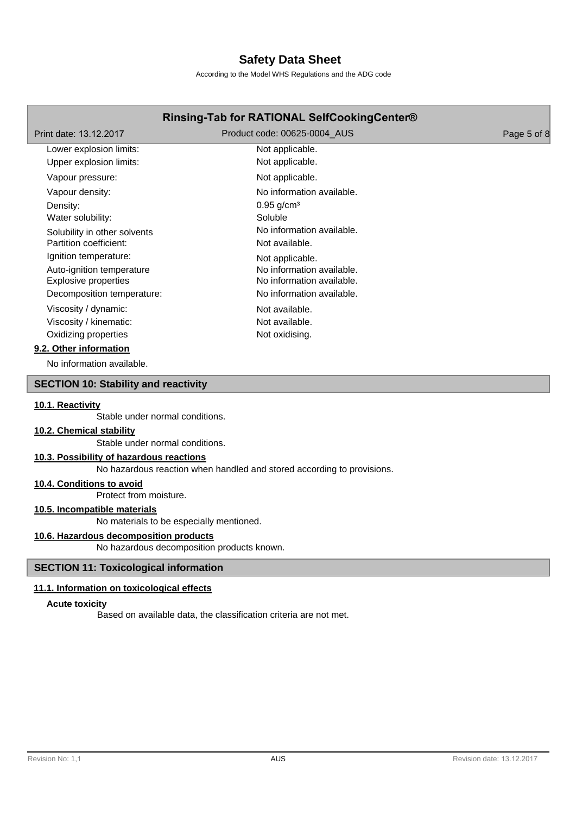According to the Model WHS Regulations and the ADG code

# **Rinsing-Tab for RATIONAL SelfCookingCenter®**

| Print date: 13.12.2017       | Product code: 00625-0004 AUS | Page 5 of 8 |
|------------------------------|------------------------------|-------------|
| Lower explosion limits:      | Not applicable.              |             |
| Upper explosion limits:      | Not applicable.              |             |
| Vapour pressure:             | Not applicable.              |             |
| Vapour density:              | No information available.    |             |
| Density:                     | $0.95$ g/cm <sup>3</sup>     |             |
| Water solubility:            | Soluble                      |             |
| Solubility in other solvents | No information available.    |             |
| Partition coefficient:       | Not available.               |             |
| Ignition temperature:        | Not applicable.              |             |
| Auto-ignition temperature    | No information available.    |             |
| <b>Explosive properties</b>  | No information available.    |             |
| Decomposition temperature:   | No information available.    |             |
| Viscosity / dynamic:         | Not available.               |             |
| Viscosity / kinematic:       | Not available.               |             |
| Oxidizing properties         | Not oxidising.               |             |
| 9.2. Other information       |                              |             |

No information available.

## **SECTION 10: Stability and reactivity**

#### **10.1. Reactivity**

Stable under normal conditions.

# **10.2. Chemical stability**

Stable under normal conditions.

# **10.3. Possibility of hazardous reactions**

No hazardous reaction when handled and stored according to provisions.

### **10.4. Conditions to avoid**

Protect from moisture.

# **10.5. Incompatible materials**

No materials to be especially mentioned.

# **10.6. Hazardous decomposition products**

No hazardous decomposition products known.

### **SECTION 11: Toxicological information**

#### **11.1. Information on toxicological effects**

#### **Acute toxicity**

Based on available data, the classification criteria are not met.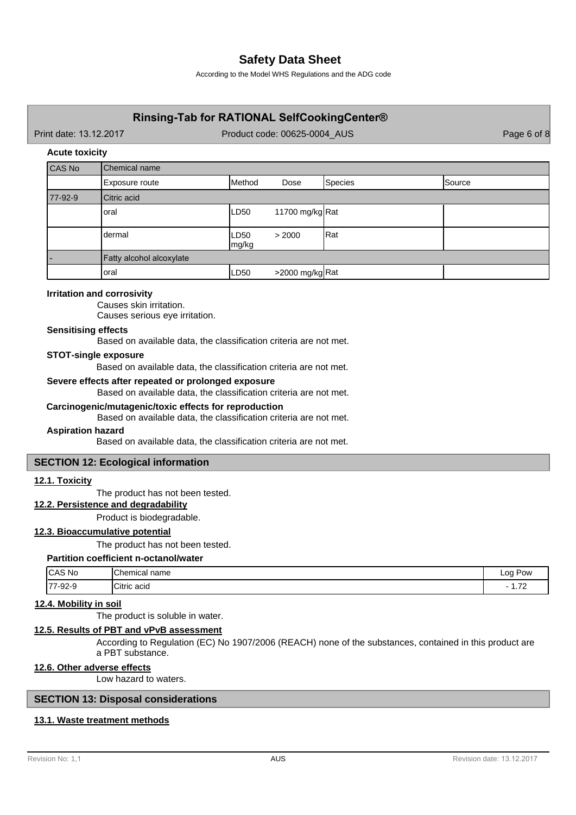According to the Model WHS Regulations and the ADG code

# **Rinsing-Tab for RATIONAL SelfCookingCenter®**

Print date: 13.12.2017 **Product code: 00625-0004** AUS Page 6 of 8

#### **Acute toxicity**

| CAS No  | <b>Chemical name</b>     |               |                                        |         |               |
|---------|--------------------------|---------------|----------------------------------------|---------|---------------|
|         | Exposure route           | Method        | Dose                                   | Species | <b>Source</b> |
| 77-92-9 | Citric acid              |               |                                        |         |               |
|         | loral                    | LD50          | 11700 mg/kg $\lceil \text{Rat} \rceil$ |         |               |
|         | ldermal                  | LD50<br>mg/kg | > 2000                                 | Rat     |               |
|         | Fatty alcohol alcoxylate |               |                                        |         |               |
|         | loral                    | LD50          | >2000 mg/kg Rat                        |         |               |

### **Irritation and corrosivity**

Causes skin irritation. Causes serious eye irritation.

## **Sensitising effects**

Based on available data, the classification criteria are not met.

#### **STOT-single exposure**

Based on available data, the classification criteria are not met.

#### **Severe effects after repeated or prolonged exposure**

Based on available data, the classification criteria are not met.

#### **Carcinogenic/mutagenic/toxic effects for reproduction**

Based on available data, the classification criteria are not met.

## **Aspiration hazard**

Based on available data, the classification criteria are not met.

## **SECTION 12: Ecological information**

#### **12.1. Toxicity**

The product has not been tested.

#### **12.2. Persistence and degradability**

Product is biodegradable.

#### **12.3. Bioaccumulative potential**

The product has not been tested.

# **Partition coefficient n-octanol/water**

| <b>CAS No</b> | <b>IChemical name</b>   | ∟00<br>Pow<br>- - -                    |
|---------------|-------------------------|----------------------------------------|
| 77-92-9       | $C$ itri<br>Citric acid | $\overline{\phantom{a}}$<br>$\sqrt{2}$ |

# **12.4. Mobility in soil**

The product is soluble in water.

#### **12.5. Results of PBT and vPvB assessment**

According to Regulation (EC) No 1907/2006 (REACH) none of the substances, contained in this product are a PBT substance.

## **12.6. Other adverse effects**

Low hazard to waters.

# **SECTION 13: Disposal considerations**

## **13.1. Waste treatment methods**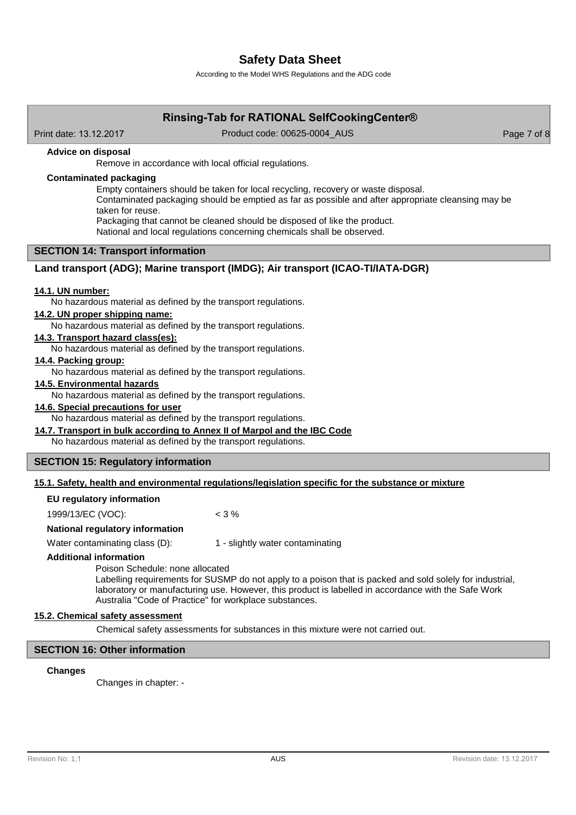According to the Model WHS Regulations and the ADG code

# **Rinsing-Tab for RATIONAL SelfCookingCenter®**

Print date: 13.12.2017 Product code: 00625-0004 AUS Page 7 of 8

### **Advice on disposal**

Remove in accordance with local official regulations.

# **Contaminated packaging**

Empty containers should be taken for local recycling, recovery or waste disposal.

Contaminated packaging should be emptied as far as possible and after appropriate cleansing may be taken for reuse.

Packaging that cannot be cleaned should be disposed of like the product.

National and local regulations concerning chemicals shall be observed.

# **SECTION 14: Transport information**

## **Land transport (ADG); Marine transport (IMDG); Air transport (ICAO-TI/IATA-DGR)**

### **14.1. UN number:**

No hazardous material as defined by the transport regulations.

#### **14.2. UN proper shipping name:**

No hazardous material as defined by the transport regulations.

## **14.3. Transport hazard class(es):**

No hazardous material as defined by the transport regulations.

# **14.4. Packing group:**

No hazardous material as defined by the transport regulations.

#### **14.5. Environmental hazards**

No hazardous material as defined by the transport regulations.

### **14.6. Special precautions for user**

No hazardous material as defined by the transport regulations.

### **14.7. Transport in bulk according to Annex II of Marpol and the IBC Code**

No hazardous material as defined by the transport regulations.

### **SECTION 15: Regulatory information**

### **15.1. Safety, health and environmental regulations/legislation specific for the substance or mixture**

#### **EU regulatory information**

1999/13/EC (VOC): < 3 %

#### **National regulatory information**

Water contaminating class (D): 1 - slightly water contaminating

#### **Additional information**

Poison Schedule: none allocated

Labelling requirements for SUSMP do not apply to a poison that is packed and sold solely for industrial, laboratory or manufacturing use. However, this product is labelled in accordance with the Safe Work Australia "Code of Practice" for workplace substances.

#### **15.2. Chemical safety assessment**

Chemical safety assessments for substances in this mixture were not carried out.

### **SECTION 16: Other information**

#### **Changes**

Changes in chapter: -